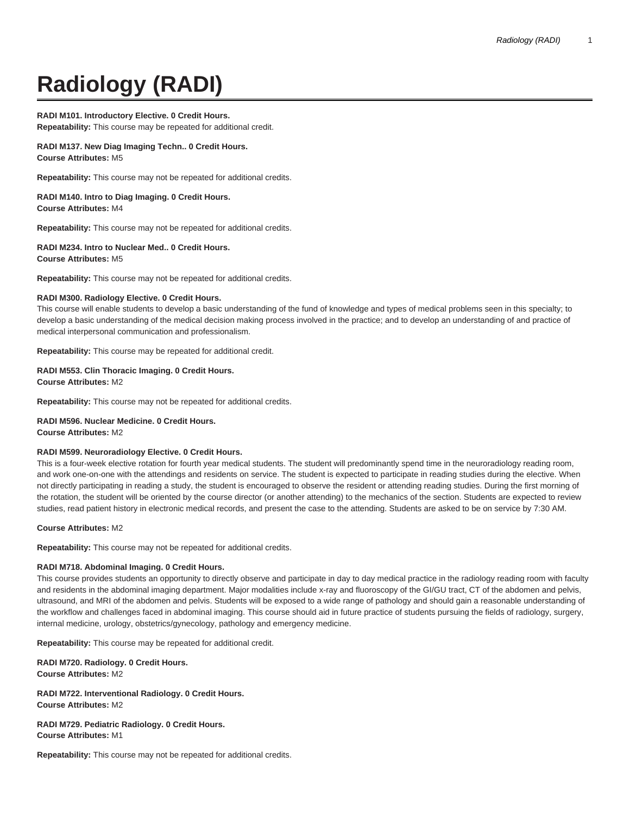# **Radiology (RADI)**

# **RADI M101. Introductory Elective. 0 Credit Hours.**

**Repeatability:** This course may be repeated for additional credit.

## **RADI M137. New Diag Imaging Techn.. 0 Credit Hours. Course Attributes:** M5

**Repeatability:** This course may not be repeated for additional credits.

**RADI M140. Intro to Diag Imaging. 0 Credit Hours. Course Attributes:** M4

**Repeatability:** This course may not be repeated for additional credits.

#### **RADI M234. Intro to Nuclear Med.. 0 Credit Hours. Course Attributes:** M5

**Repeatability:** This course may not be repeated for additional credits.

## **RADI M300. Radiology Elective. 0 Credit Hours.**

This course will enable students to develop a basic understanding of the fund of knowledge and types of medical problems seen in this specialty; to develop a basic understanding of the medical decision making process involved in the practice; and to develop an understanding of and practice of medical interpersonal communication and professionalism.

**Repeatability:** This course may be repeated for additional credit.

# **RADI M553. Clin Thoracic Imaging. 0 Credit Hours. Course Attributes:** M2

**Repeatability:** This course may not be repeated for additional credits.

#### **RADI M596. Nuclear Medicine. 0 Credit Hours.**

**Course Attributes:** M2

## **RADI M599. Neuroradiology Elective. 0 Credit Hours.**

This is a four-week elective rotation for fourth year medical students. The student will predominantly spend time in the neuroradiology reading room, and work one-on-one with the attendings and residents on service. The student is expected to participate in reading studies during the elective. When not directly participating in reading a study, the student is encouraged to observe the resident or attending reading studies. During the first morning of the rotation, the student will be oriented by the course director (or another attending) to the mechanics of the section. Students are expected to review studies, read patient history in electronic medical records, and present the case to the attending. Students are asked to be on service by 7:30 AM.

#### **Course Attributes:** M2

**Repeatability:** This course may not be repeated for additional credits.

# **RADI M718. Abdominal Imaging. 0 Credit Hours.**

This course provides students an opportunity to directly observe and participate in day to day medical practice in the radiology reading room with faculty and residents in the abdominal imaging department. Major modalities include x-ray and fluoroscopy of the GI/GU tract, CT of the abdomen and pelvis, ultrasound, and MRI of the abdomen and pelvis. Students will be exposed to a wide range of pathology and should gain a reasonable understanding of the workflow and challenges faced in abdominal imaging. This course should aid in future practice of students pursuing the fields of radiology, surgery, internal medicine, urology, obstetrics/gynecology, pathology and emergency medicine.

**Repeatability:** This course may be repeated for additional credit.

**RADI M720. Radiology. 0 Credit Hours. Course Attributes:** M2

**RADI M722. Interventional Radiology. 0 Credit Hours. Course Attributes:** M2

**RADI M729. Pediatric Radiology. 0 Credit Hours. Course Attributes:** M1

**Repeatability:** This course may not be repeated for additional credits.